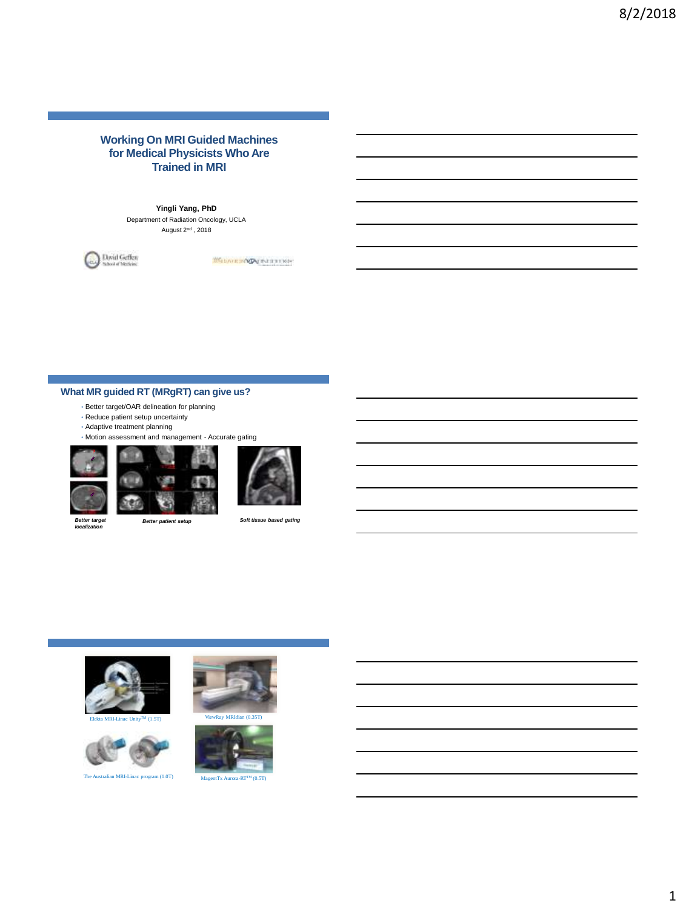# **Working On MRI Guided Machines for Medical Physicists Who Are Trained in MRI**

## **Yingli Yang, PhD**

Department of Radiation Oncology, UCLA August  $2<sup>nd</sup>$ , 2018



Without SWA PERTITION

# **What MR guided RT (MRgRT) can give us?**

- Better target/OAR delineation for planning
- Reduce patient setup uncertainty
- Adaptive treatment planning

• Motion assessment and management - Accurate gating







*Better target* 

*localization* 

*Better patient setup Soft tissue based gating*







The Australian MRI-Linac program (1.0T) MagentTx Aurora-RT



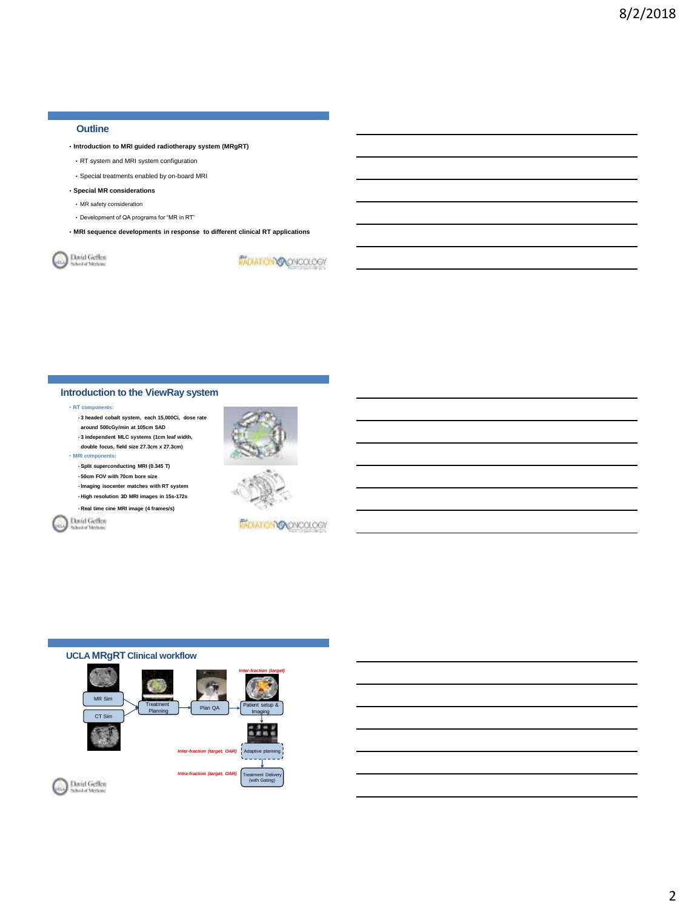## **Outline**

- **Introduction to MRI guided radiotherapy system (MRgRT)**
- RT system and MRI system configuration
- Special treatments enabled by on-board MRI

### • **Special MR considerations**

- MR safety consideration
- Development of QA programs for "MR in RT"
- **MRI sequence developments in response to different clinical RT applications**

David Geffen

*MOIATOMOOPROLOGY* 

## **Introduction to the ViewRay system**

#### • **RT components:**

• **3 headed cobalt system, each 15,000Ci, dose rate around 500cGy/min at 105cm SAD** • **3 independent MLC systems (1cm leaf width, double focus, field size 27.3cm x 27.3cm)** 

• **MRI components:** 

- **Split superconducting MRI (0.345 T)** • **50cm FOV with 70cm bore size** • **Imaging isocenter matches with RT system**
- **High resolution 3D MRI images in 15s-172s** • **Real time cine MRI image (4 frames/s)**

David Geffen



*PADIATIONS* ONCOLOGY

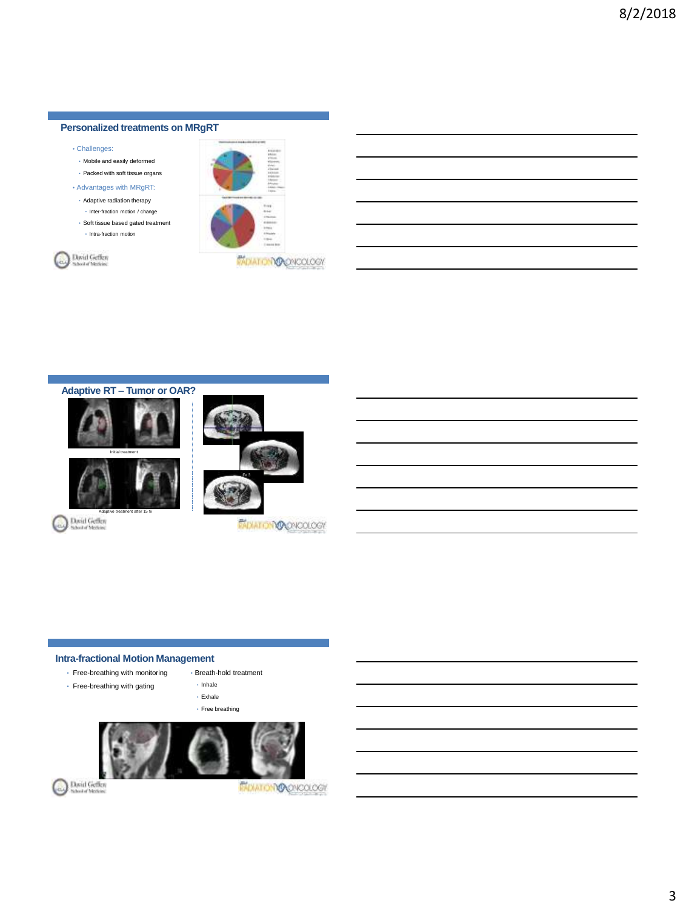# **Personalized treatments on MRgRT**

- Challenges:
- Mobile and easily deformed
- Packed with soft tissue organs
- Advantages with MRgRT:
- Adaptive radiation therapy
- Inter-fraction motion / change • Soft tissue based gated treatment
- Intra-fraction motion
- 







# **Intra-fractional Motion Management**

- Free-breathing with monitoring
- Free-breathing with gating
- Breath-hold treatment • Inhale
- Exhale
- Free breathing



David Geffen

*EXPIRIT ON ORDER COLOGY*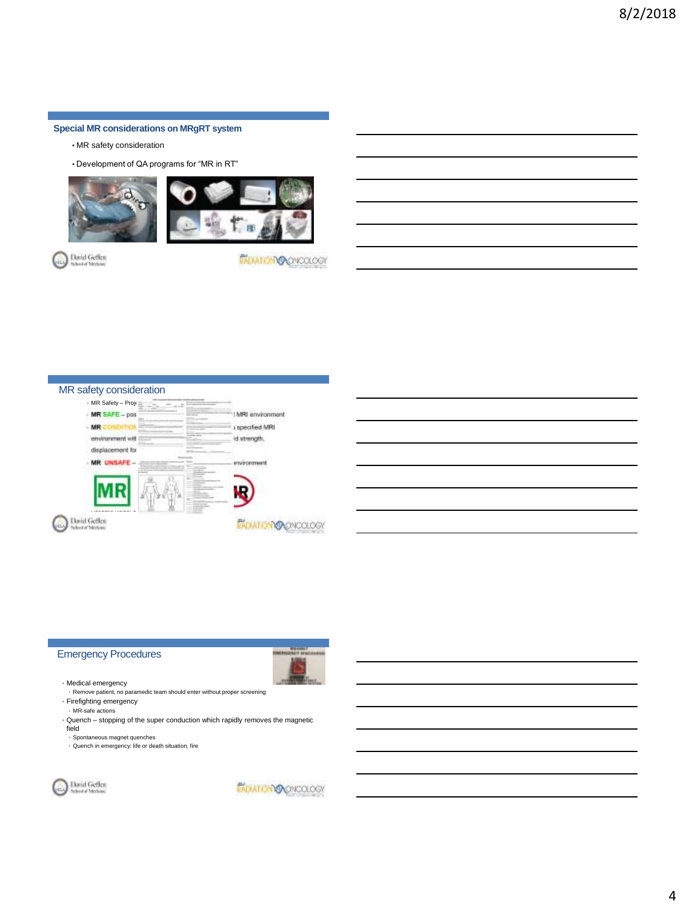**Special MR considerations on MRgRT system**

- MR safety consideration
- Development of QA programs for "MR in RT"





David Geffen

*PADIATOMOQNOOLOGY* 



## Emergency Procedures



• Medical emergency • Remove patient, no paramedic team should enter without proper screening

• Firefighting emergency • MR-safe actions

• Quench – stopping of the super conduction which rapidly removes the magnetic field

• Spontaneous magnet quenches • Quench in emergency: life or death situation, fire



*MOIATOMOQYCOLOGY*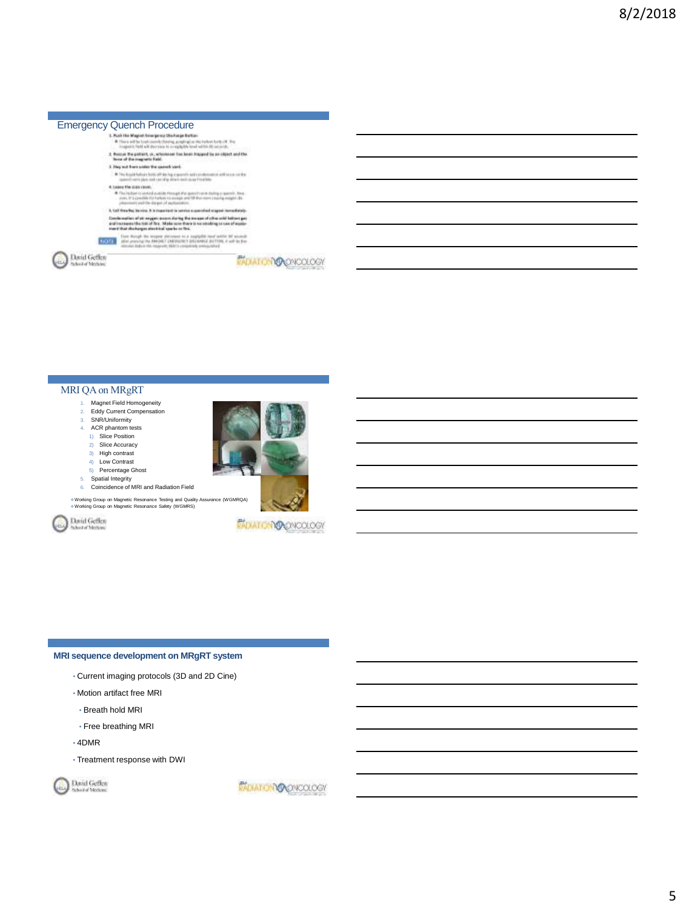

## MRI QA on MRgRT

- 1. Magnet Field Homogeneity<br>2. Eddy Current Compensation Eddy Current Compensation
- 3. SNR/Uniformity
- 4. ACR phantom tests
- 1) Slice Position
- 2) Slice Accuracy 3) High contrast
- 4) Low Contrast
- 5) Percentage Ghost
- 5. Spatial Integrity
- 6. Coincidence of MRI and Radiation Field

Working Group on Magnetic Resonance Testing and Quality Assurance (WGMRQA) Working Group on Magnetic Resonance Safety (WGMRS)

David Geffen



**PADIATOMOQOKOLOGY** 

### **MRI sequence development on MRgRT system**

- Current imaging protocols (3D and 2D Cine)
- Motion artifact free MRI
- Breath hold MRI
- Free breathing MRI
- 4DMR
- Treatment response with DWI

David Geffen

*PADIATOMOOPROLOGY*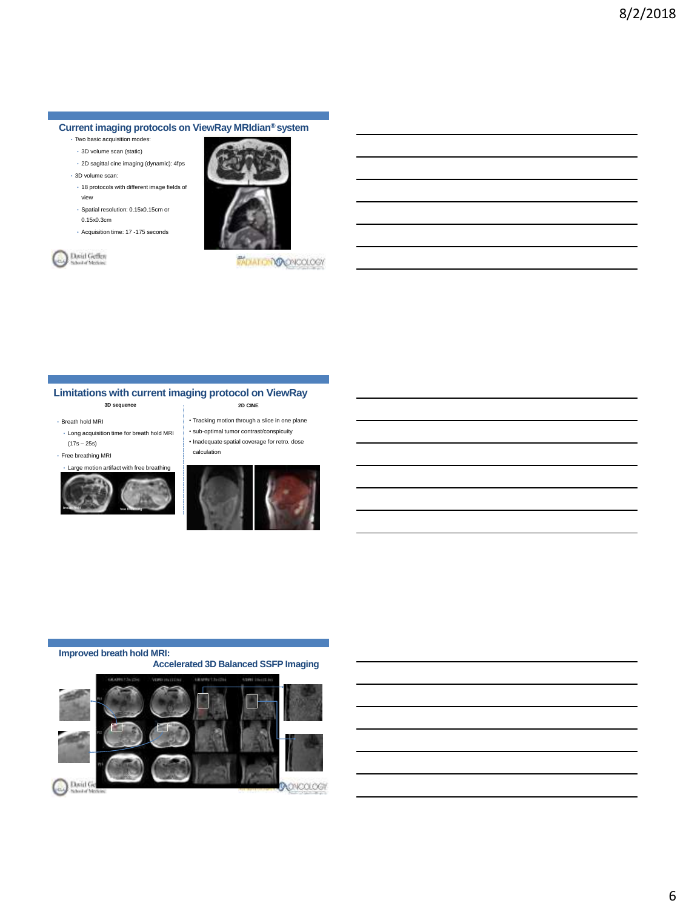# **Current imaging protocols on ViewRay MRIdian® system**

- Two basic acquisition modes:
- 3D volume scan (static)
- 2D sagittal cine imaging (dynamic): 4fps • 3D volume scan:
- 

Dovid Geffen<br>Shorta Motion

- 18 protocols with different image fields of view
- Spatial resolution: 0.15x0.15cm or 0.15x0.3cm
- Acquisition time: 17 -175 seconds



**PADIATOMOQOKOLOGY** 

# **Limitations with current imaging protocol on ViewRay**

calculation

#### **3D sequence 2D CINE**

### • Breath hold MRI

- Long acquisition time for breath hold MRI (17s – 25s)
- Free breathing MRI



breath hold breathing breathing



• Tracking motion through a slice in one plane • sub-optimal tumor contrast/conspicuity • Inadequate spatial coverage for retro. dose

## **Improved breath hold MRI:**

 **Accelerated 3D Balanced SSFP Imaging**

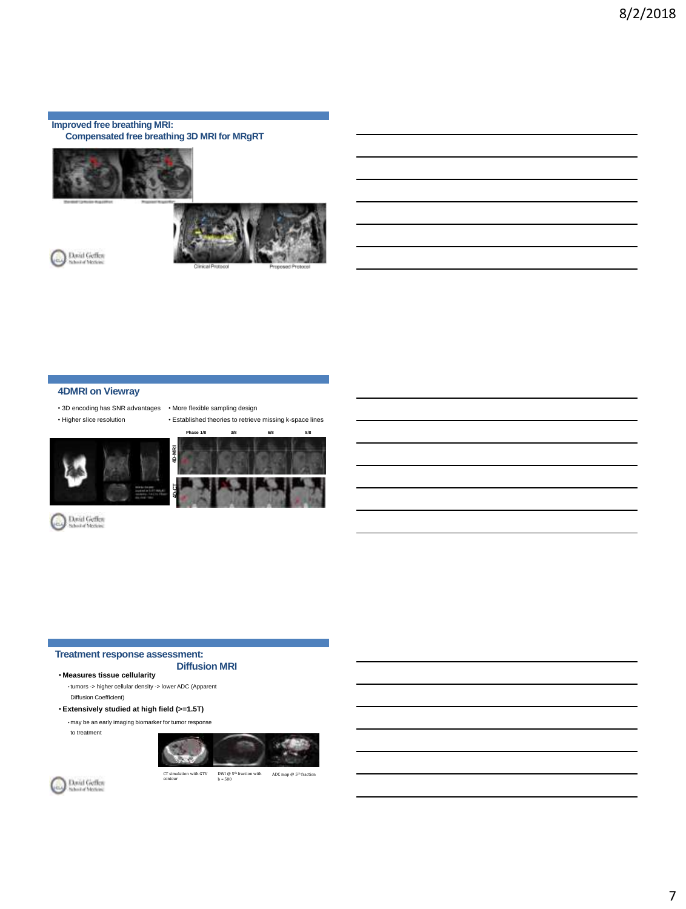### **Improved free breathing MRI: Compensated free breathing 3D MRI for MRgRT**





Dovid Geffen<br>School of Methods

# **4DMRI on Viewray**

- 3D encoding has SNR advantages More flexible sampling design
- Higher slice resolution

• Established theories to retrieve missing k-space lines





David Geffen

# **Treatment response assessment:**

### **Diffusion MRI**

• **Measures tissue cellularity** • tumors -> higher cellular density -> lower ADC (Apparent Diffusion Coefficient)

• **Extensively studied at high field (>=1.5T)**

• may be an early imaging biomarker for tumor response







CT simulation with GTV DWI  $\textcircled{\tiny{B}}$ <sup>th</sup> fraction with ADC map  $\textcircled{\tiny{B}}$  5<sup>th</sup> fraction b = 500

7